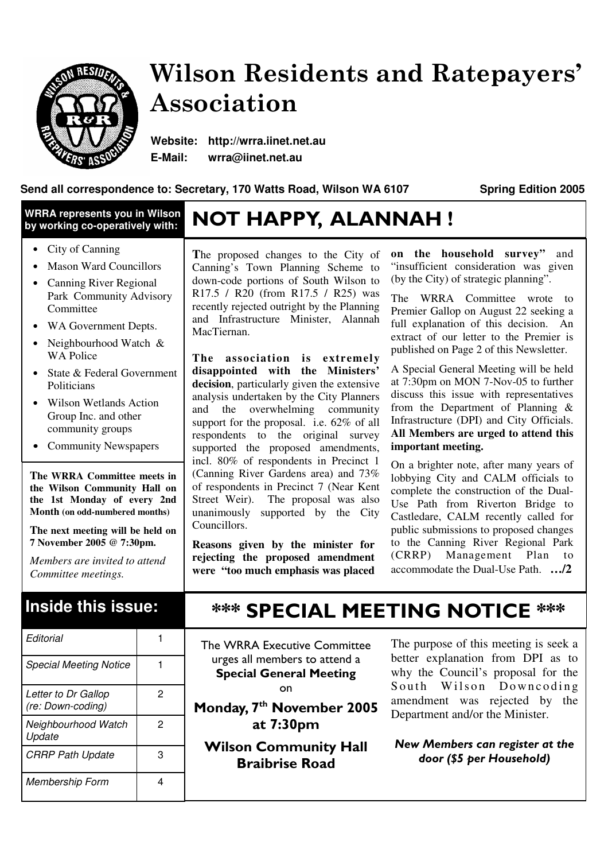

# Wilson Residents and Ratepayers' Association

**Website: http://wrra.iinet.net.au E-Mail: wrra@iinet.net.au**

#### **Send all correspondence to: Secretary, 170 Watts Road, Wilson WA 6107 Spring Edition 2005**

#### **WRRA represents you in Wilson by working co-operatively with:**

- City of Canning
- Mason Ward Councillors
- Canning River Regional Park Community Advisory Committee
- WA Government Depts.
- Neighbourhood Watch & WA Police
- State & Federal Government Politicians
- Wilson Wetlands Action Group Inc. and other community groups
- Community Newspapers

**The WRRA Committee meets in the Wilson Community Hall on the 1st Monday of every 2nd Month (on odd-numbered months)**

**The next meeting will be held on 7 November 2005 @ 7:30pm.**

*Members are invited to attend Committee meetings.*

### **Inside this issue:**

| Editorial                                |   |  |
|------------------------------------------|---|--|
| <b>Special Meeting Notice</b>            |   |  |
| Letter to Dr Gallop<br>(re: Down-coding) | 2 |  |
| Neighbourhood Watch<br>Update            | 2 |  |
| <b>CRRP Path Update</b>                  | 3 |  |
| Membership Form                          | Δ |  |

# NOT HAPPY, ALANNAH !

**T**he proposed changes to the City of Canning's Town Planning Scheme to down-code portions of South Wilson to R17.5 / R20 (from R17.5 / R25) was recently rejected outright by the Planning and Infrastructure Minister, Alannah MacTiernan.

**The association is extremely disappointed with the Ministers' decision**, particularly given the extensive analysis undertaken by the City Planners and the overwhelming community support for the proposal. i.e. 62\% of all respondents to the original survey supported the proposed amendments, incl. 80% of respondents in Precinct 1 (Canning River Gardens area) and 73% of respondents in Precinct 7 (Near Kent Street Weir). The proposal was also unanimously supported by the City Councillors.

**Reasons given by the minister for rejecting the proposed amendment were "too much emphasis was placed**

**on the household survey"** and "insufficient consideration was given (by the City) of strategic planning".

The WRRA Committee wrote to Premier Gallop on August 22 seeking a full explanation of this decision. An extract of our letter to the Premier is published on Page 2 of this Newsletter.

A Special General Meeting will be held at 7:30pm on MON 7-Nov-05 to further discuss this issue with representatives from the Department of Planning & Infrastructure (DPI) and City Officials. **All Members are urged to attend this important meeting.**

On a brighter note, after many years of lobbying City and CALM officials to complete the construction of the Dual-Use Path from Riverton Bridge to Castledare, CALM recently called for public submissions to proposed changes to the Canning River Regional Park (CRRP) Management Plan to accommodate the Dual-Use Path. **…/2**

### **\*\*\* SPECIAL MEETING NOTICE \*\*\***

The WRRA Executive Committee urges all members to attend a **Special General Meeting** on

Monday, 7<sup>th</sup> November 2005 at 7:30pm

**Wilson Community Hall Braibrise Road** 

The purpose of this meeting is seek a better explanation from DPI as to why the Council's proposal for the South Wilson Downcoding amendment was rejected by the Department and/or the Minister.

New Members can register at the door (\$5 per Household)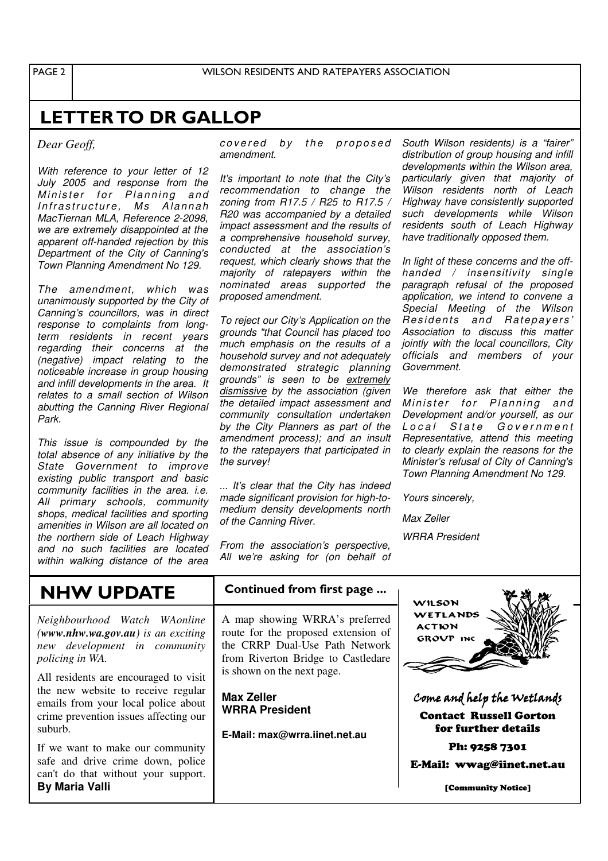PAGE<sub>2</sub>

#### **LETTER TO DR GALLOP**

*Dear Geoff,*

*With reference to your letter of 12 July 2005 and response from the Minister for Planning and I n fr a s tr uc t u r e , Ms Al a n n a h MacTiernan MLA, Reference 2-2098, we are extremely disappointed at the apparent off-handed rejection by this Department of the City of Canning's Town Planning Amendment No 129.*

*The amendment, which was unanimously supported by the City of Canning's councillors, was in direct response to complaints from longterm residents in recent years regarding their concerns at the (negative) impact relating to the noticeable increase in group housing and infill developments in the area. It relates to a small section of Wilson abutting the Canning River Regional Park.*

*This issue is compounded by the total absence of any initiative by the State Government to improve existing public transport and basic community facilities in the area. i.e. All primary schools, community shops, medical facilities and sporting amenities in Wilson are all located on the northern side of Leach Highway and no such facilities are located within walking distance of the area* *covered by the proposed amendment.*

*It's important to note that the City's recommendation to change the zoning from R17.5 / R25 to R17.5 / R20 was accompanied by a detailed impact assessment and the results of a comprehensive household survey, conducted at the association's request, which clearly shows that the majority of ratepayers within the nominated areas supported the proposed amendment.*

*To reject our City's Application on the grounds "that Council has placed too much emphasis on the results of a household survey and not adequately demonstrated strategic planning grounds" is seen to be extremely dismissive by the association (given the detailed impact assessment and community consultation undertaken by the City Planners as part of the amendment process); and an insult to the ratepayers that participated in the survey!*

*... It's clear that the City has indeed made significant provision for high-tomedium density developments north of the Canning River.*

*From the association's perspective, All we're asking for (on behalf of* *South Wilson residents) is a "fairer" distribution of group housing and infill developments within the Wilson area, particularly given that majority of Wilson residents north of Leach Highway have consistently supported such developments while Wilson residents south of Leach Highway have traditionally opposed them.*

*In light of these concerns and the offhanded / insensitivity single paragraph refusal of the proposed application, we intend to convene a Special Meeting of the Wilson*  $R$  *Residents* and *Ratepavers' Association to discuss this matter jointly with the local councillors, City officials and members of your Government.*

*We therefore ask that either the Minister for Planning and Development and/or yourself, as our L o c a l S t a t e G o v e r n m e n t Representative, attend this meeting to clearly explain the reasons for the Minister's refusal of City of Canning's Town Planning Amendment No 129.*

*Yours sincerely,*

*Max Zeller*

*WRRA President*

#### NHW UPDATE

*Neighbourhood Watch WAonline (www.nhw.wa.gov.au) is an exciting new development in community policing in WA.*

All residents are encouraged to visit the new website to receive regular emails from your local police about crime prevention issues affecting our suburb.

If we want to make our community safe and drive crime down, police can't do that without your support. **By Maria Valli**

#### Continued from first page ...

A map showing WRRA's preferred route for the proposed extension of the CRRP Dual-Use Path Network from Riverton Bridge to Castledare is shown on the next page.

**Max Zeller WRRA President**

**E-Mail: max@wrra.iinet.net.au**



Come and help the Wetlands Contact Russell Gorton for further details

Ph: 9258 7301

E-Mail: wwag@iinet.net.au

[Community Notice]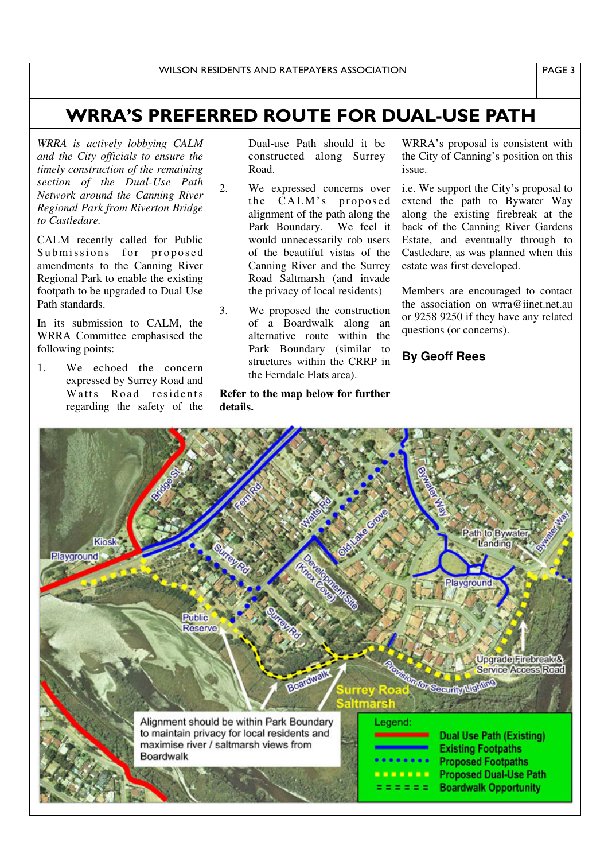## WRRA'S PREFERRED ROUTE FOR DUAL-USE PATH

*WRRA is actively lobbying CALM and the City officials to ensure the timely construction of the remaining section of the Dual-Use Path Network around the Canning River Regional Park from Riverton Bridge to Castledare.*

CALM recently called for Public Submissions for proposed amendments to the Canning River Regional Park to enable the existing footpath to be upgraded to Dual Use Path standards.

In its submission to CALM, the WRRA Committee emphasised the following points:

1. We echoed the concern expressed by Surrey Road and Watts Road residents regarding the safety of the

Dual-use Path should it be constructed along Surrey Road.

- 2. We expressed concerns over the CALM's proposed alignment of the path along the Park Boundary. We feel it would unnecessarily rob users of the beautiful vistas of the Canning River and the Surrey Road Saltmarsh (and invade the privacy of local residents)
- 3. We proposed the construction of a Boardwalk along an alternative route within the Park Boundary (similar to structures within the CRRP in the Ferndale Flats area).

**Refer to the map below for further details.**

WRRA's proposal is consistent with the City of Canning's position on this issue.

i.e. We support the City's proposal to extend the path to Bywater Way along the existing firebreak at the back of the Canning River Gardens Estate, and eventually through to Castledare, as was planned when this estate was first developed.

Members are encouraged to contact the association on wrra@iinet.net.au or 9258 9250 if they have any related questions (or concerns).

**By Geoff Rees**